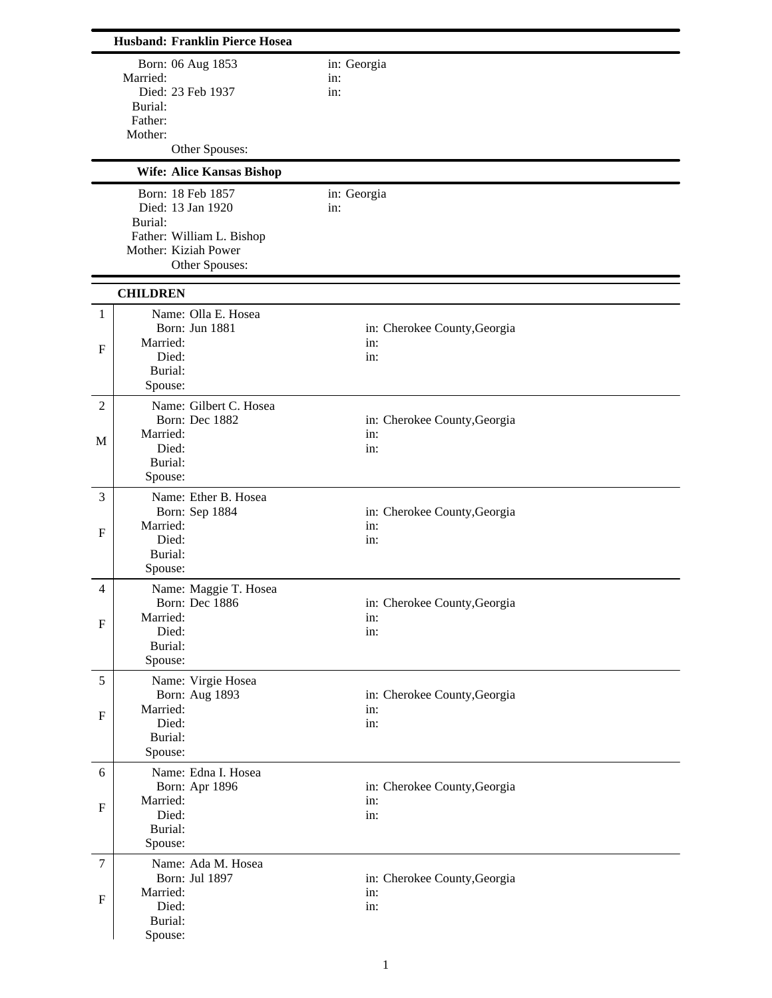|                  | Husband: Franklin Pierce Hosea                                                                                           |                                            |  |  |
|------------------|--------------------------------------------------------------------------------------------------------------------------|--------------------------------------------|--|--|
|                  | Born: 06 Aug 1853<br>Married:<br>Died: 23 Feb 1937<br>Burial:<br>Father:<br>Mother:<br>Other Spouses:                    | in: Georgia<br>in:<br>in:                  |  |  |
|                  | <b>Wife: Alice Kansas Bishop</b>                                                                                         |                                            |  |  |
|                  | Born: 18 Feb 1857<br>Died: 13 Jan 1920<br>Burial:<br>Father: William L. Bishop<br>Mother: Kiziah Power<br>Other Spouses: | in: Georgia<br>in:                         |  |  |
|                  | <b>CHILDREN</b>                                                                                                          |                                            |  |  |
| 1<br>$\mathbf F$ | Name: Olla E. Hosea<br><b>Born: Jun 1881</b><br>Married:<br>Died:<br>Burial:<br>Spouse:                                  | in: Cherokee County, Georgia<br>in:<br>in: |  |  |
| 2<br>M           | Name: Gilbert C. Hosea<br>Born: Dec 1882<br>Married:<br>Died:<br>Burial:<br>Spouse:                                      | in: Cherokee County, Georgia<br>in:<br>in: |  |  |
| 3                | Name: Ether B. Hosea                                                                                                     |                                            |  |  |
| $\mathbf F$      | Born: Sep 1884<br>Married:<br>Died:<br>Burial:<br>Spouse:                                                                | in: Cherokee County, Georgia<br>in:<br>in: |  |  |
| 4                | Name: Maggie T. Hosea                                                                                                    |                                            |  |  |
| $\mathbf F$      | Born: Dec 1886<br>Married:<br>Died:<br>Burial:<br>Spouse:                                                                | in: Cherokee County, Georgia<br>in:<br>in: |  |  |
| 5                | Name: Virgie Hosea<br><b>Born: Aug 1893</b>                                                                              | in: Cherokee County, Georgia               |  |  |
| F                | Married:<br>Died:<br>Burial:<br>Spouse:                                                                                  | in:<br>in:                                 |  |  |
| 6                | Name: Edna I. Hosea                                                                                                      |                                            |  |  |
| $\mathbf F$      | <b>Born: Apr 1896</b><br>Married:<br>Died:<br>Burial:<br>Spouse:                                                         | in: Cherokee County, Georgia<br>in:<br>in: |  |  |
| $\tau$           | Name: Ada M. Hosea<br>Born: Jul 1897                                                                                     | in: Cherokee County, Georgia               |  |  |
| $\mathbf{F}$     | Married:<br>Died:<br>Burial:<br>Spouse:                                                                                  | in:<br>in:                                 |  |  |